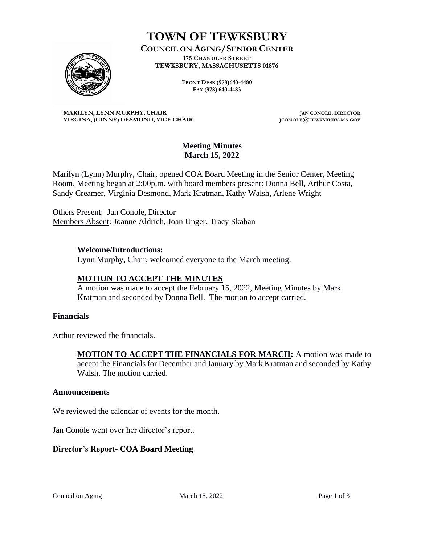

# **TOWN OF TEWKSBURY**

**COUNCIL ON AGING/SENIOR CENTER 175 CHANDLER STREET TEWKSBURY, MASSACHUSETTS 01876**

> **FRONT DESK (978)640-4480 FAX (978) 640-4483**

**MARILYN, LYNN MURPHY, CHAIR JAN CONOLE, DIRECTOR VIRGINA, (GINNY) DESMOND, VICE CHAIR JCONOLE@TEWKSBURY-MA.GOV**

#### **Meeting Minutes March 15, 2022**

Marilyn (Lynn) Murphy, Chair, opened COA Board Meeting in the Senior Center, Meeting Room. Meeting began at 2:00p.m. with board members present: Donna Bell, Arthur Costa, Sandy Creamer, Virginia Desmond, Mark Kratman, Kathy Walsh, Arlene Wright

Others Present: Jan Conole, Director Members Absent: Joanne Aldrich, Joan Unger, Tracy Skahan

# **Welcome/Introductions:**

Lynn Murphy, Chair, welcomed everyone to the March meeting.

### **MOTION TO ACCEPT THE MINUTES**

A motion was made to accept the February 15, 2022, Meeting Minutes by Mark Kratman and seconded by Donna Bell. The motion to accept carried.

#### **Financials**

Arthur reviewed the financials.

**MOTION TO ACCEPT THE FINANCIALS FOR MARCH:** A motion was made to accept the Financials for December and January by Mark Kratman and seconded by Kathy Walsh. The motion carried.

#### **Announcements**

We reviewed the calendar of events for the month.

Jan Conole went over her director's report.

### **Director's Report- COA Board Meeting**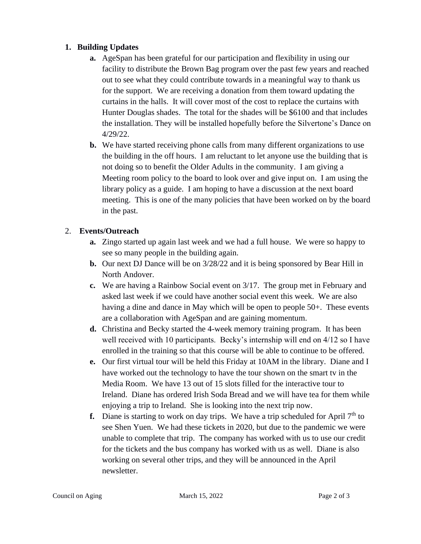# **1. Building Updates**

- **a.** AgeSpan has been grateful for our participation and flexibility in using our facility to distribute the Brown Bag program over the past few years and reached out to see what they could contribute towards in a meaningful way to thank us for the support. We are receiving a donation from them toward updating the curtains in the halls. It will cover most of the cost to replace the curtains with Hunter Douglas shades. The total for the shades will be \$6100 and that includes the installation. They will be installed hopefully before the Silvertone's Dance on 4/29/22.
- **b.** We have started receiving phone calls from many different organizations to use the building in the off hours. I am reluctant to let anyone use the building that is not doing so to benefit the Older Adults in the community. I am giving a Meeting room policy to the board to look over and give input on. I am using the library policy as a guide. I am hoping to have a discussion at the next board meeting. This is one of the many policies that have been worked on by the board in the past.

# 2. **Events/Outreach**

- **a.** Zingo started up again last week and we had a full house. We were so happy to see so many people in the building again.
- **b.** Our next DJ Dance will be on 3/28/22 and it is being sponsored by Bear Hill in North Andover.
- **c.** We are having a Rainbow Social event on 3/17. The group met in February and asked last week if we could have another social event this week. We are also having a dine and dance in May which will be open to people 50+. These events are a collaboration with AgeSpan and are gaining momentum.
- **d.** Christina and Becky started the 4-week memory training program. It has been well received with 10 participants. Becky's internship will end on 4/12 so I have enrolled in the training so that this course will be able to continue to be offered.
- **e.** Our first virtual tour will be held this Friday at 10AM in the library. Diane and I have worked out the technology to have the tour shown on the smart tv in the Media Room. We have 13 out of 15 slots filled for the interactive tour to Ireland. Diane has ordered Irish Soda Bread and we will have tea for them while enjoying a trip to Ireland. She is looking into the next trip now.
- **f.** Diane is starting to work on day trips. We have a trip scheduled for April  $7<sup>th</sup>$  to see Shen Yuen. We had these tickets in 2020, but due to the pandemic we were unable to complete that trip. The company has worked with us to use our credit for the tickets and the bus company has worked with us as well. Diane is also working on several other trips, and they will be announced in the April newsletter.